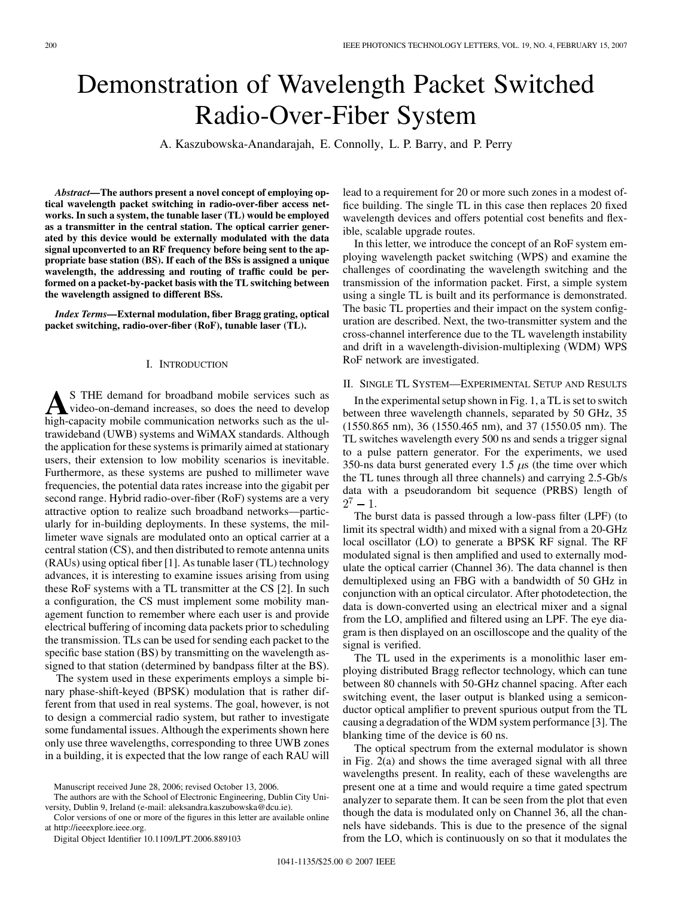# Demonstration of Wavelength Packet Switched Radio-Over-Fiber System

A. Kaszubowska-Anandarajah, E. Connolly, L. P. Barry, and P. Perry

*Abstract—***The authors present a novel concept of employing optical wavelength packet switching in radio-over-fiber access networks. In such a system, the tunable laser (TL) would be employed as a transmitter in the central station. The optical carrier generated by this device would be externally modulated with the data signal upconverted to an RF frequency before being sent to the appropriate base station (BS). If each of the BSs is assigned a unique wavelength, the addressing and routing of traffic could be performed on a packet-by-packet basis with the TL switching between the wavelength assigned to different BSs.**

*Index Terms—***External modulation, fiber Bragg grating, optical packet switching, radio-over-fiber (RoF), tunable laser (TL).**

### I. INTRODUCTION

**A**S THE demand for broadband mobile services such as<br>video-on-demand increases, so does the need to develop<br>high-canacity mobile communication networks such as the ulhigh-capacity mobile communication networks such as the ultrawideband (UWB) systems and WiMAX standards. Although the application for these systems is primarily aimed at stationary users, their extension to low mobility scenarios is inevitable. Furthermore, as these systems are pushed to millimeter wave frequencies, the potential data rates increase into the gigabit per second range. Hybrid radio-over-fiber (RoF) systems are a very attractive option to realize such broadband networks—particularly for in-building deployments. In these systems, the millimeter wave signals are modulated onto an optical carrier at a central station (CS), and then distributed to remote antenna units (RAUs) using optical fiber [\[1\].](#page-2-0) As tunable laser (TL) technology advances, it is interesting to examine issues arising from using these RoF systems with a TL transmitter at the CS [\[2\]](#page-2-0). In such a configuration, the CS must implement some mobility management function to remember where each user is and provide electrical buffering of incoming data packets prior to scheduling the transmission. TLs can be used for sending each packet to the specific base station (BS) by transmitting on the wavelength assigned to that station (determined by bandpass filter at the BS).

The system used in these experiments employs a simple binary phase-shift-keyed (BPSK) modulation that is rather different from that used in real systems. The goal, however, is not to design a commercial radio system, but rather to investigate some fundamental issues. Although the experiments shown here only use three wavelengths, corresponding to three UWB zones in a building, it is expected that the low range of each RAU will

Manuscript received June 28, 2006; revised October 13, 2006.

The authors are with the School of Electronic Engineering, Dublin City University, Dublin 9, Ireland (e-mail: aleksandra.kaszubowska@dcu.ie).

Color versions of one or more of the figures in this letter are available online at http://ieeexplore.ieee.org.

Digital Object Identifier 10.1109/LPT.2006.889103

lead to a requirement for 20 or more such zones in a modest office building. The single TL in this case then replaces 20 fixed wavelength devices and offers potential cost benefits and flexible, scalable upgrade routes.

In this letter, we introduce the concept of an RoF system employing wavelength packet switching (WPS) and examine the challenges of coordinating the wavelength switching and the transmission of the information packet. First, a simple system using a single TL is built and its performance is demonstrated. The basic TL properties and their impact on the system configuration are described. Next, the two-transmitter system and the cross-channel interference due to the TL wavelength instability and drift in a wavelength-division-multiplexing (WDM) WPS RoF network are investigated.

### II. SINGLE TL SYSTEM—EXPERIMENTAL SETUP AND RESULTS

In the experimental setup shown in [Fig. 1,](#page-1-0) a TL is set to switch between three wavelength channels, separated by 50 GHz, 35 (1550.865 nm), 36 (1550.465 nm), and 37 (1550.05 nm). The TL switches wavelength every 500 ns and sends a trigger signal to a pulse pattern generator. For the experiments, we used 350-ns data burst generated every 1.5  $\mu$ s (the time over which the TL tunes through all three channels) and carrying 2.5-Gb/s data with a pseudorandom bit sequence (PRBS) length of  $2^7 - 1$ .

The burst data is passed through a low-pass filter (LPF) (to limit its spectral width) and mixed with a signal from a 20-GHz local oscillator (LO) to generate a BPSK RF signal. The RF modulated signal is then amplified and used to externally modulate the optical carrier (Channel 36). The data channel is then demultiplexed using an FBG with a bandwidth of 50 GHz in conjunction with an optical circulator. After photodetection, the data is down-converted using an electrical mixer and a signal from the LO, amplified and filtered using an LPF. The eye diagram is then displayed on an oscilloscope and the quality of the signal is verified.

The TL used in the experiments is a monolithic laser employing distributed Bragg reflector technology, which can tune between 80 channels with 50-GHz channel spacing. After each switching event, the laser output is blanked using a semiconductor optical amplifier to prevent spurious output from the TL causing a degradation of the WDM system performance [\[3\].](#page-2-0) The blanking time of the device is 60 ns.

The optical spectrum from the external modulator is shown in [Fig. 2\(a\)](#page-1-0) and shows the time averaged signal with all three wavelengths present. In reality, each of these wavelengths are present one at a time and would require a time gated spectrum analyzer to separate them. It can be seen from the plot that even though the data is modulated only on Channel 36, all the channels have sidebands. This is due to the presence of the signal from the LO, which is continuously on so that it modulates the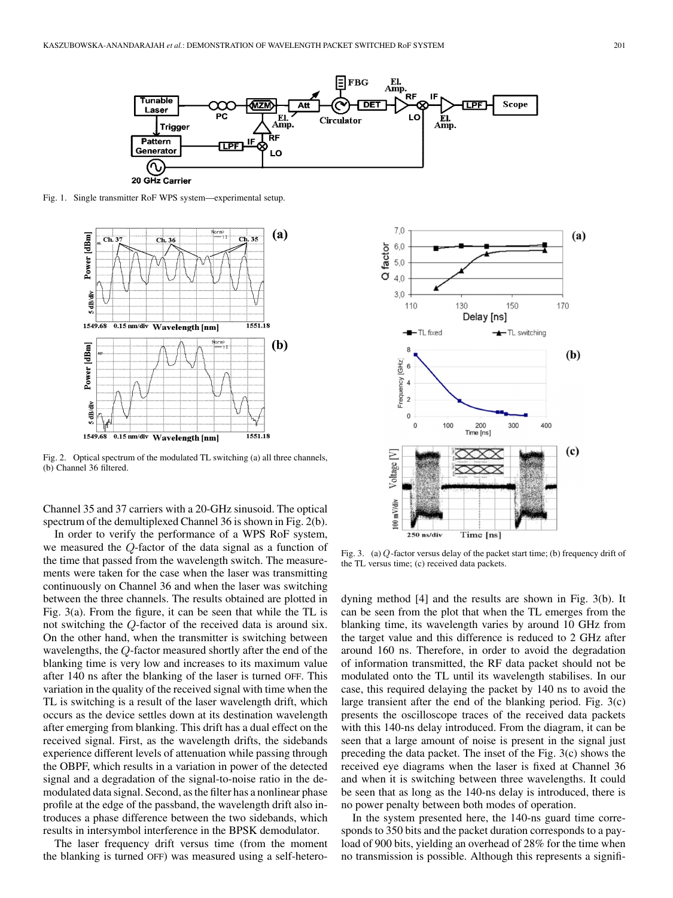<span id="page-1-0"></span>

Fig. 1. Single transmitter RoF WPS system—experimental setup.



Fig. 2. Optical spectrum of the modulated TL switching (a) all three channels, (b) Channel 36 filtered.

Channel 35 and 37 carriers with a 20-GHz sinusoid. The optical spectrum of the demultiplexed Channel 36 is shown in Fig. 2(b).

In order to verify the performance of a WPS RoF system, we measured the  $Q$ -factor of the data signal as a function of the time that passed from the wavelength switch. The measurements were taken for the case when the laser was transmitting continuously on Channel 36 and when the laser was switching between the three channels. The results obtained are plotted in Fig. 3(a). From the figure, it can be seen that while the TL is not switching the  $Q$ -factor of the received data is around six. On the other hand, when the transmitter is switching between wavelengths, the  $Q$ -factor measured shortly after the end of the blanking time is very low and increases to its maximum value after 140 ns after the blanking of the laser is turned OFF. This variation in the quality of the received signal with time when the TL is switching is a result of the laser wavelength drift, which occurs as the device settles down at its destination wavelength after emerging from blanking. This drift has a dual effect on the received signal. First, as the wavelength drifts, the sidebands experience different levels of attenuation while passing through the OBPF, which results in a variation in power of the detected signal and a degradation of the signal-to-noise ratio in the demodulated data signal. Second, as the filter has a nonlinear phase profile at the edge of the passband, the wavelength drift also introduces a phase difference between the two sidebands, which results in intersymbol interference in the BPSK demodulator.

The laser frequency drift versus time (from the moment the blanking is turned OFF) was measured using a self-hetero-



Fig. 3. (a) Q-factor versus delay of the packet start time; (b) frequency drift of the TL versus time; (c) received data packets.

dyning method [\[4\]](#page-2-0) and the results are shown in Fig. 3(b). It can be seen from the plot that when the TL emerges from the blanking time, its wavelength varies by around 10 GHz from the target value and this difference is reduced to 2 GHz after around 160 ns. Therefore, in order to avoid the degradation of information transmitted, the RF data packet should not be modulated onto the TL until its wavelength stabilises. In our case, this required delaying the packet by 140 ns to avoid the large transient after the end of the blanking period. Fig. 3(c) presents the oscilloscope traces of the received data packets with this 140-ns delay introduced. From the diagram, it can be seen that a large amount of noise is present in the signal just preceding the data packet. The inset of the Fig. 3(c) shows the received eye diagrams when the laser is fixed at Channel 36 and when it is switching between three wavelengths. It could be seen that as long as the 140-ns delay is introduced, there is no power penalty between both modes of operation.

In the system presented here, the 140-ns guard time corresponds to 350 bits and the packet duration corresponds to a payload of 900 bits, yielding an overhead of 28% for the time when no transmission is possible. Although this represents a signifi-